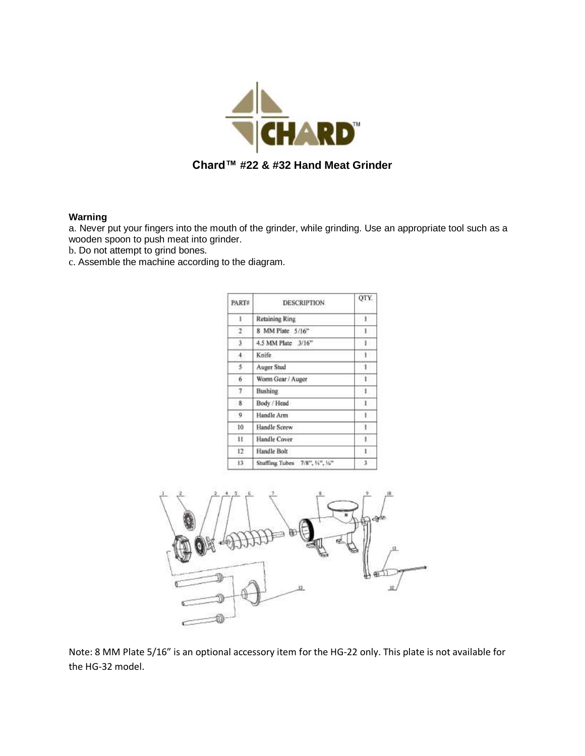

## **Warning**

a. Never put your fingers into the mouth of the grinder, while grinding. Use an appropriate tool such as a wooden spoon to push meat into grinder.

b. Do not attempt to grind bones.

c. Assemble the machine according to the diagram.

| <b>PART#</b>  | <b>DESCRIPTION</b>              | OTY          |
|---------------|---------------------------------|--------------|
| Ľ             | Retaining Ring                  | л.           |
| $\mathcal{L}$ | 8 MM Plate 5/16"                | 1            |
| з             | 4.5 MM Plate 3/16"              | $\mathbf{1}$ |
| 4.            | Knife                           | ĩ            |
| 5.            | Auger Stud                      | 1            |
| 6             | Worm Gear / Auger               | 1            |
| 7             | <b>Bushing</b>                  | $\mathbf{I}$ |
| 8             | Body / Head                     | $\pm$        |
| $\mathbf{q}$  | Handle Arm                      | $\lceil$     |
| 10            | Handle Screw                    | ı            |
| П.            | Handle Cover                    | 1            |
| $12^{\circ}$  | Handle Bolt                     | 1            |
| 13.           | Stuffing Tubes 7/8", 1/4", 1/5" | 3            |



Note: 8 MM Plate 5/16" is an optional accessory item for the HG-22 only. This plate is not available for the HG-32 model.